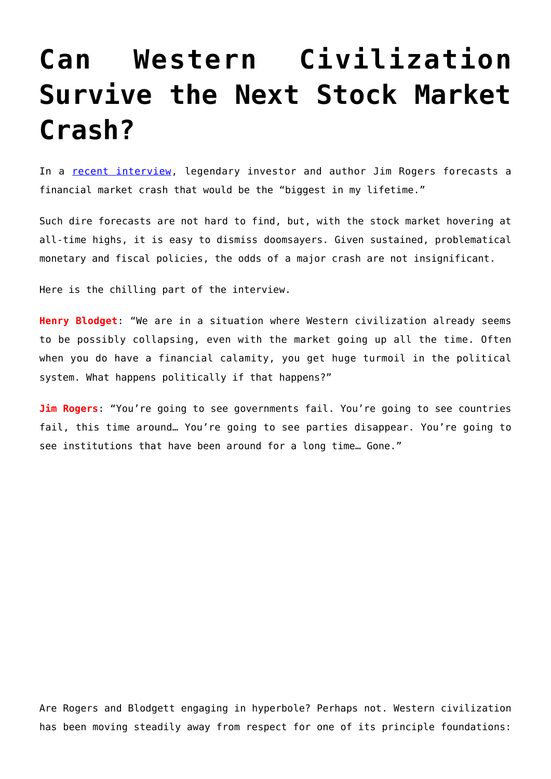## **[Can Western Civilization](https://intellectualtakeout.org/2017/06/can-western-civilization-survive-the-next-stock-market-crash/) [Survive the Next Stock Market](https://intellectualtakeout.org/2017/06/can-western-civilization-survive-the-next-stock-market-crash/) [Crash?](https://intellectualtakeout.org/2017/06/can-western-civilization-survive-the-next-stock-market-crash/)**

In a [recent interview](http://www.businessinsider.com/jim-rogers-worst-crash-lifetime-coming-2017-6), legendary investor and author Jim Rogers forecasts a financial market crash that would be the "biggest in my lifetime."

Such dire forecasts are not hard to find, but, with the stock market hovering at all-time highs, it is easy to dismiss doomsayers. Given sustained, problematical monetary and fiscal policies, the odds of a major crash are not insignificant.

Here is the chilling part of the interview.

**Henry Blodget**: "We are in a situation where Western civilization already seems to be possibly collapsing, even with the market going up all the time. Often when you do have a financial calamity, you get huge turmoil in the political system. What happens politically if that happens?"

**Jim Rogers**: "You're going to see governments fail. You're going to see countries fail, this time around… You're going to see parties disappear. You're going to see institutions that have been around for a long time… Gone."

Are Rogers and Blodgett engaging in hyperbole? Perhaps not. Western civilization has been moving steadily away from respect for one of its principle foundations: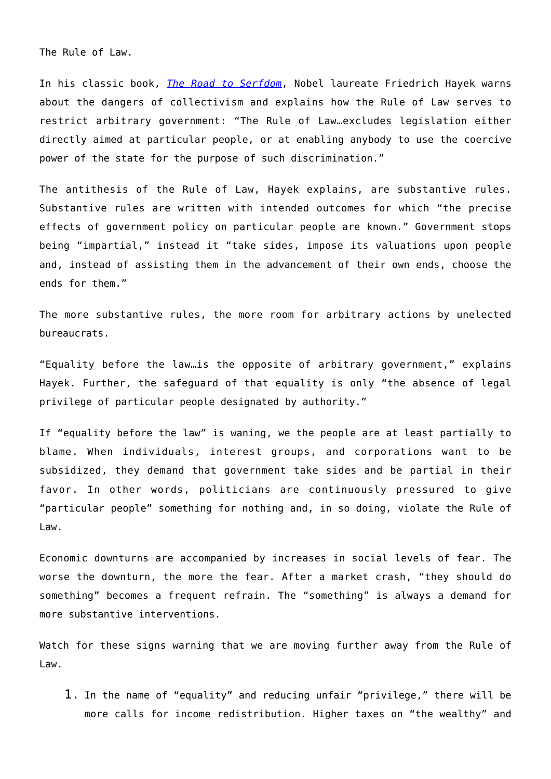The Rule of Law.

In his classic book, *[The Road to Serfdom](http://amzn.to/2swHoP5)*, Nobel laureate Friedrich Hayek warns about the dangers of collectivism and explains how the Rule of Law serves to restrict arbitrary government: "The Rule of Law…excludes legislation either directly aimed at particular people, or at enabling anybody to use the coercive power of the state for the purpose of such discrimination."

The antithesis of the Rule of Law, Hayek explains, are substantive rules. Substantive rules are written with intended outcomes for which "the precise effects of government policy on particular people are known." Government stops being "impartial," instead it "take sides, impose its valuations upon people and, instead of assisting them in the advancement of their own ends, choose the ends for them."

The more substantive rules, the more room for arbitrary actions by unelected bureaucrats.

"Equality before the law…is the opposite of arbitrary government," explains Hayek. Further, the safeguard of that equality is only "the absence of legal privilege of particular people designated by authority."

If "equality before the law" is waning, we the people are at least partially to blame. When individuals, interest groups, and corporations want to be subsidized, they demand that government take sides and be partial in their favor. In other words, politicians are continuously pressured to give "particular people" something for nothing and, in so doing, violate the Rule of Law.

Economic downturns are accompanied by increases in social levels of fear. The worse the downturn, the more the fear. After a market crash, "they should do something" becomes a frequent refrain. The "something" is always a demand for more substantive interventions.

Watch for these signs warning that we are moving further away from the Rule of Law.

1. In the name of "equality" and reducing unfair "privilege," there will be more calls for income redistribution. Higher taxes on "the wealthy" and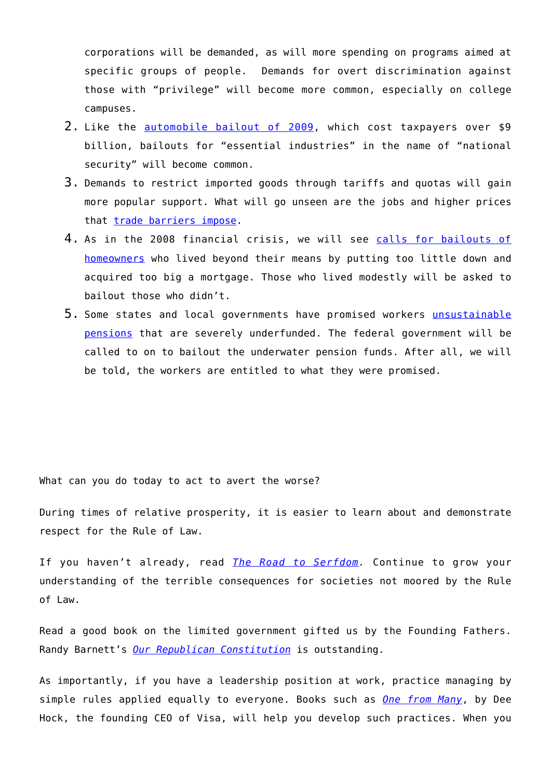corporations will be demanded, as will more spending on programs aimed at specific groups of people. Demands for overt discrimination against those with "privilege" will become more common, especially on college campuses.

- 2. Like the [automobile bailout of 2009](https://www.usatoday.com/story/money/cars/2014/12/30/auto-bailout-tarp-gm-chrysler/21061251/), which cost taxpayers over \$9 billion, bailouts for "essential industries" in the name of "national security" will become common.
- 3. Demands to restrict imported goods through tariffs and quotas will gain more popular support. What will go unseen are the jobs and higher prices that [trade barriers impose.](https://www.mercatus.org/publication/benefits-free-trade-addressing-key-myths)
- 4. As in the 2008 financial crisis, we will see [calls for bailouts of](http://money.cnn.com/2008/09/28/news/economy/bailout_foreclosure/index.htm) [homeowners](http://money.cnn.com/2008/09/28/news/economy/bailout_foreclosure/index.htm) who lived beyond their means by putting too little down and acquired too big a mortgage. Those who lived modestly will be asked to bailout those who didn't.
- 5. Some states and local governments have promised workers [unsustainable](http://www.thefiscaltimes.com/2015/03/30/Outrageous-Public-Pensions-Could-Bankrupt-These-States) [pensions](http://www.thefiscaltimes.com/2015/03/30/Outrageous-Public-Pensions-Could-Bankrupt-These-States) that are severely underfunded. The federal government will be called to on to bailout the underwater pension funds. After all, we will be told, the workers are entitled to what they were promised.

What can you do today to act to avert the worse?

During times of relative prosperity, it is easier to learn about and demonstrate respect for the Rule of Law.

If you haven't already, read *[The Road to Serfdom.](http://amzn.to/2swHoP5)* Continue to grow your understanding of the terrible consequences for societies not moored by the Rule of Law.

Read a good book on the limited government gifted us by the Founding Fathers. Randy Barnett's *[Our Republican Constitution](http://amzn.to/2ssZcJY)* is outstanding.

As importantly, if you have a leadership position at work, practice managing by simple rules applied equally to everyone. Books such as *[One from Many](http://amzn.to/2s5emEz)*, by Dee Hock, the founding CEO of Visa, will help you develop such practices. When you